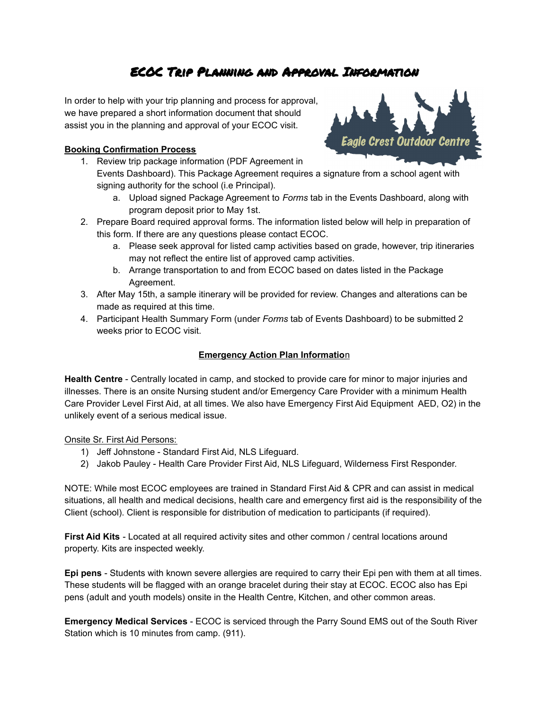# ECOC Trip Planning and Approval Information

In order to help with your trip planning and process for approval, we have prepared a short information document that should assist you in the planning and approval of your ECOC visit.

## **Booking Confirmation Process**

- 1. Review trip package information (PDF Agreement in Events Dashboard). This Package Agreement requires a signature from a school agent with signing authority for the school (i.e Principal).
	- a. Upload signed Package Agreement to *Forms* tab in the Events Dashboard, along with program deposit prior to May 1st.
- 2. Prepare Board required approval forms. The information listed below will help in preparation of this form. If there are any questions please contact ECOC.
	- a. Please seek approval for listed camp activities based on grade, however, trip itineraries may not reflect the entire list of approved camp activities.
	- b. Arrange transportation to and from ECOC based on dates listed in the Package Agreement.
- 3. After May 15th, a sample itinerary will be provided for review. Changes and alterations can be made as required at this time.
- 4. Participant Health Summary Form (under *Forms* tab of Events Dashboard) to be submitted 2 weeks prior to ECOC visit.

# **Emergency Action Plan Informatio**n

**Health Centre** - Centrally located in camp, and stocked to provide care for minor to major injuries and illnesses. There is an onsite Nursing student and/or Emergency Care Provider with a minimum Health Care Provider Level First Aid, at all times. We also have Emergency First Aid Equipment AED, O2) in the unlikely event of a serious medical issue.

Onsite Sr. First Aid Persons:

- 1) Jeff Johnstone Standard First Aid, NLS Lifeguard.
- 2) Jakob Pauley Health Care Provider First Aid, NLS Lifeguard, Wilderness First Responder.

NOTE: While most ECOC employees are trained in Standard First Aid & CPR and can assist in medical situations, all health and medical decisions, health care and emergency first aid is the responsibility of the Client (school). Client is responsible for distribution of medication to participants (if required).

**First Aid Kits** - Located at all required activity sites and other common / central locations around property. Kits are inspected weekly.

**Epi pens** - Students with known severe allergies are required to carry their Epi pen with them at all times. These students will be flagged with an orange bracelet during their stay at ECOC. ECOC also has Epi pens (adult and youth models) onsite in the Health Centre, Kitchen, and other common areas.

**Emergency Medical Services** - ECOC is serviced through the Parry Sound EMS out of the South River Station which is 10 minutes from camp. (911).

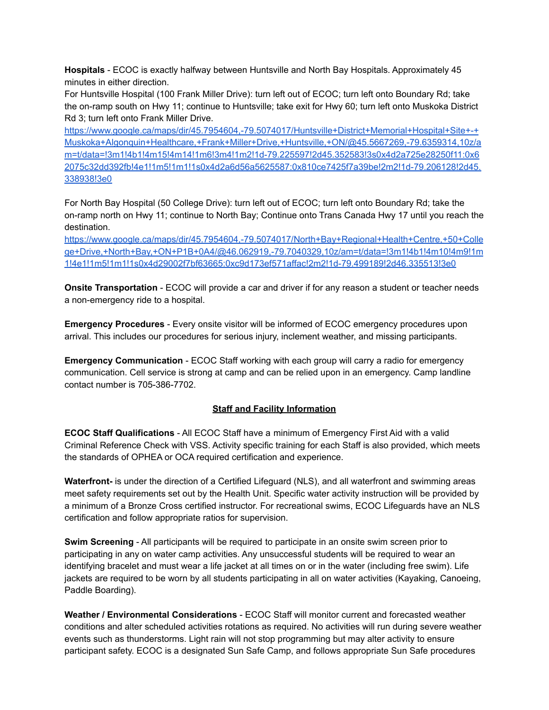**Hospitals** - ECOC is exactly halfway between Huntsville and North Bay Hospitals. Approximately 45 minutes in either direction.

For Huntsville Hospital (100 Frank Miller Drive): turn left out of ECOC; turn left onto Boundary Rd; take the on-ramp south on Hwy 11; continue to Huntsville; take exit for Hwy 60; turn left onto Muskoka District Rd 3; turn left onto Frank Miller Drive.

[https://www.google.ca/maps/dir/45.7954604,-79.5074017/Huntsville+District+Memorial+Hospital+Site+-+](https://www.google.ca/maps/dir/45.7954604,-79.5074017/Huntsville+District+Memorial+Hospital+Site+-+Muskoka+Algonquin+Healthcare,+Frank+Miller+Drive,+Huntsville,+ON/@45.5667269,-79.6359314,10z/am=t/data=!3m1!4b1!4m15!4m14!1m6!3m4!1m2!1d-79.225597!2d45.352583!3s0x4d2a725e28250f11:0x62075c32dd392fb!4e1!1m5!1m1!1s0x4d2a6d56a5625587:0x810ce7425f7a39be!2m2!1d-79.206128!2d45.338938!3e0) [Muskoka+Algonquin+Healthcare,+Frank+Miller+Drive,+Huntsville,+ON/@45.5667269,-79.6359314,10z/a](https://www.google.ca/maps/dir/45.7954604,-79.5074017/Huntsville+District+Memorial+Hospital+Site+-+Muskoka+Algonquin+Healthcare,+Frank+Miller+Drive,+Huntsville,+ON/@45.5667269,-79.6359314,10z/am=t/data=!3m1!4b1!4m15!4m14!1m6!3m4!1m2!1d-79.225597!2d45.352583!3s0x4d2a725e28250f11:0x62075c32dd392fb!4e1!1m5!1m1!1s0x4d2a6d56a5625587:0x810ce7425f7a39be!2m2!1d-79.206128!2d45.338938!3e0) [m=t/data=!3m1!4b1!4m15!4m14!1m6!3m4!1m2!1d-79.225597!2d45.352583!3s0x4d2a725e28250f11:0x6](https://www.google.ca/maps/dir/45.7954604,-79.5074017/Huntsville+District+Memorial+Hospital+Site+-+Muskoka+Algonquin+Healthcare,+Frank+Miller+Drive,+Huntsville,+ON/@45.5667269,-79.6359314,10z/am=t/data=!3m1!4b1!4m15!4m14!1m6!3m4!1m2!1d-79.225597!2d45.352583!3s0x4d2a725e28250f11:0x62075c32dd392fb!4e1!1m5!1m1!1s0x4d2a6d56a5625587:0x810ce7425f7a39be!2m2!1d-79.206128!2d45.338938!3e0) [2075c32dd392fb!4e1!1m5!1m1!1s0x4d2a6d56a5625587:0x810ce7425f7a39be!2m2!1d-79.206128!2d45.](https://www.google.ca/maps/dir/45.7954604,-79.5074017/Huntsville+District+Memorial+Hospital+Site+-+Muskoka+Algonquin+Healthcare,+Frank+Miller+Drive,+Huntsville,+ON/@45.5667269,-79.6359314,10z/am=t/data=!3m1!4b1!4m15!4m14!1m6!3m4!1m2!1d-79.225597!2d45.352583!3s0x4d2a725e28250f11:0x62075c32dd392fb!4e1!1m5!1m1!1s0x4d2a6d56a5625587:0x810ce7425f7a39be!2m2!1d-79.206128!2d45.338938!3e0) [338938!3e0](https://www.google.ca/maps/dir/45.7954604,-79.5074017/Huntsville+District+Memorial+Hospital+Site+-+Muskoka+Algonquin+Healthcare,+Frank+Miller+Drive,+Huntsville,+ON/@45.5667269,-79.6359314,10z/am=t/data=!3m1!4b1!4m15!4m14!1m6!3m4!1m2!1d-79.225597!2d45.352583!3s0x4d2a725e28250f11:0x62075c32dd392fb!4e1!1m5!1m1!1s0x4d2a6d56a5625587:0x810ce7425f7a39be!2m2!1d-79.206128!2d45.338938!3e0)

For North Bay Hospital (50 College Drive): turn left out of ECOC; turn left onto Boundary Rd; take the on-ramp north on Hwy 11; continue to North Bay; Continue onto Trans Canada Hwy 17 until you reach the destination.

[https://www.google.ca/maps/dir/45.7954604,-79.5074017/North+Bay+Regional+Health+Centre,+50+Colle](https://www.google.ca/maps/dir/45.7954604,-79.5074017/North+Bay+Regional+Health+Centre,+50+College+Drive,+North+Bay,+ON+P1B+0A4/@46.062919,-79.7040329,10z/am=t/data=!3m1!4b1!4m10!4m9!1m1!4e1!1m5!1m1!1s0x4d29002f7bf63665:0xc9d173ef571affac!2m2!1d-79.499189!2d46.335513!3e0) [ge+Drive,+North+Bay,+ON+P1B+0A4/@46.062919,-79.7040329,10z/am=t/data=!3m1!4b1!4m10!4m9!1m](https://www.google.ca/maps/dir/45.7954604,-79.5074017/North+Bay+Regional+Health+Centre,+50+College+Drive,+North+Bay,+ON+P1B+0A4/@46.062919,-79.7040329,10z/am=t/data=!3m1!4b1!4m10!4m9!1m1!4e1!1m5!1m1!1s0x4d29002f7bf63665:0xc9d173ef571affac!2m2!1d-79.499189!2d46.335513!3e0) [1!4e1!1m5!1m1!1s0x4d29002f7bf63665:0xc9d173ef571affac!2m2!1d-79.499189!2d46.335513!3e0](https://www.google.ca/maps/dir/45.7954604,-79.5074017/North+Bay+Regional+Health+Centre,+50+College+Drive,+North+Bay,+ON+P1B+0A4/@46.062919,-79.7040329,10z/am=t/data=!3m1!4b1!4m10!4m9!1m1!4e1!1m5!1m1!1s0x4d29002f7bf63665:0xc9d173ef571affac!2m2!1d-79.499189!2d46.335513!3e0)

**Onsite Transportation** - ECOC will provide a car and driver if for any reason a student or teacher needs a non-emergency ride to a hospital.

**Emergency Procedures** - Every onsite visitor will be informed of ECOC emergency procedures upon arrival. This includes our procedures for serious injury, inclement weather, and missing participants.

**Emergency Communication** - ECOC Staff working with each group will carry a radio for emergency communication. Cell service is strong at camp and can be relied upon in an emergency. Camp landline contact number is 705-386-7702.

#### **Staff and Facility Information**

**ECOC Staff Qualifications** - All ECOC Staff have a minimum of Emergency First Aid with a valid Criminal Reference Check with VSS. Activity specific training for each Staff is also provided, which meets the standards of OPHEA or OCA required certification and experience.

**Waterfront-** is under the direction of a Certified Lifeguard (NLS), and all waterfront and swimming areas meet safety requirements set out by the Health Unit. Specific water activity instruction will be provided by a minimum of a Bronze Cross certified instructor. For recreational swims, ECOC Lifeguards have an NLS certification and follow appropriate ratios for supervision.

**Swim Screening** - All participants will be required to participate in an onsite swim screen prior to participating in any on water camp activities. Any unsuccessful students will be required to wear an identifying bracelet and must wear a life jacket at all times on or in the water (including free swim). Life jackets are required to be worn by all students participating in all on water activities (Kayaking, Canoeing, Paddle Boarding).

**Weather / Environmental Considerations** - ECOC Staff will monitor current and forecasted weather conditions and alter scheduled activities rotations as required. No activities will run during severe weather events such as thunderstorms. Light rain will not stop programming but may alter activity to ensure participant safety. ECOC is a designated Sun Safe Camp, and follows appropriate Sun Safe procedures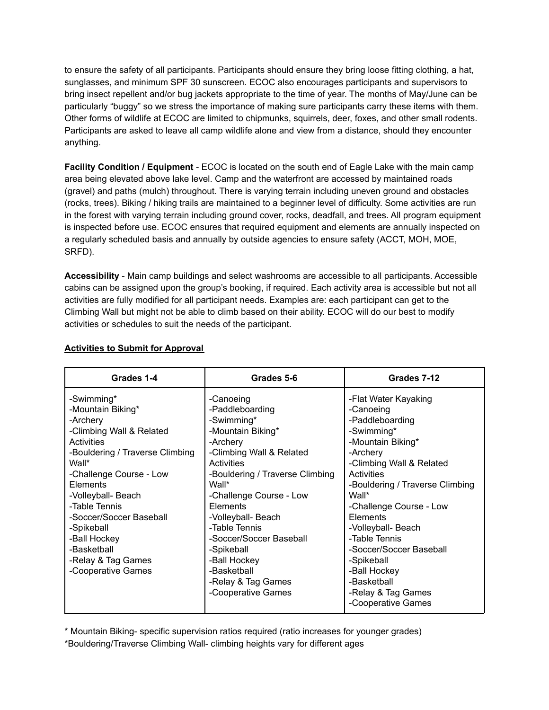to ensure the safety of all participants. Participants should ensure they bring loose fitting clothing, a hat, sunglasses, and minimum SPF 30 sunscreen. ECOC also encourages participants and supervisors to bring insect repellent and/or bug jackets appropriate to the time of year. The months of May/June can be particularly "buggy" so we stress the importance of making sure participants carry these items with them. Other forms of wildlife at ECOC are limited to chipmunks, squirrels, deer, foxes, and other small rodents. Participants are asked to leave all camp wildlife alone and view from a distance, should they encounter anything.

**Facility Condition / Equipment** - ECOC is located on the south end of Eagle Lake with the main camp area being elevated above lake level. Camp and the waterfront are accessed by maintained roads (gravel) and paths (mulch) throughout. There is varying terrain including uneven ground and obstacles (rocks, trees). Biking / hiking trails are maintained to a beginner level of difficulty. Some activities are run in the forest with varying terrain including ground cover, rocks, deadfall, and trees. All program equipment is inspected before use. ECOC ensures that required equipment and elements are annually inspected on a regularly scheduled basis and annually by outside agencies to ensure safety (ACCT, MOH, MOE, SRFD).

**Accessibility** - Main camp buildings and select washrooms are accessible to all participants. Accessible cabins can be assigned upon the group's booking, if required. Each activity area is accessible but not all activities are fully modified for all participant needs. Examples are: each participant can get to the Climbing Wall but might not be able to climb based on their ability. ECOC will do our best to modify activities or schedules to suit the needs of the participant.

| Grades 1-4                                                                                                                                                                                                                                                                                                                          | Grades 5-6                                                                                                                                                                                                                                                                                                                                                                        | Grades 7-12                                                                                                                                                                                                                                                                                                                                                                                 |
|-------------------------------------------------------------------------------------------------------------------------------------------------------------------------------------------------------------------------------------------------------------------------------------------------------------------------------------|-----------------------------------------------------------------------------------------------------------------------------------------------------------------------------------------------------------------------------------------------------------------------------------------------------------------------------------------------------------------------------------|---------------------------------------------------------------------------------------------------------------------------------------------------------------------------------------------------------------------------------------------------------------------------------------------------------------------------------------------------------------------------------------------|
| -Swimming*<br>-Mountain Biking*<br>-Archery<br>-Climbing Wall & Related<br>Activities<br>-Bouldering / Traverse Climbing<br>Wall*<br>-Challenge Course - Low<br>Elements<br>-Volleyball- Beach<br>-Table Tennis<br>-Soccer/Soccer Baseball<br>-Spikeball<br>-Ball Hockey<br>-Basketball<br>-Relay & Tag Games<br>-Cooperative Games | -Canoeing<br>-Paddleboarding<br>-Swimming*<br>-Mountain Biking*<br>-Archery<br>-Climbing Wall & Related<br><b>Activities</b><br>-Bouldering / Traverse Climbing<br>Wall*<br>-Challenge Course - Low<br><b>Elements</b><br>-Volleyball- Beach<br>-Table Tennis<br>-Soccer/Soccer Baseball<br>-Spikeball<br>-Ball Hockey<br>-Basketball<br>-Relay & Tag Games<br>-Cooperative Games | -Flat Water Kayaking<br>-Canoeing<br>-Paddleboarding<br>-Swimming*<br>-Mountain Biking*<br>-Archery<br>-Climbing Wall & Related<br>Activities<br>-Bouldering / Traverse Climbing<br>Wall*<br>-Challenge Course - Low<br>Elements<br>-Volleyball- Beach<br>-Table Tennis<br>-Soccer/Soccer Baseball<br>-Spikeball<br>-Ball Hockey<br>-Basketball<br>-Relay & Tag Games<br>-Cooperative Games |

#### **Activities to Submit for Approval**

\* Mountain Biking- specific supervision ratios required (ratio increases for younger grades)

\*Bouldering/Traverse Climbing Wall- climbing heights vary for different ages